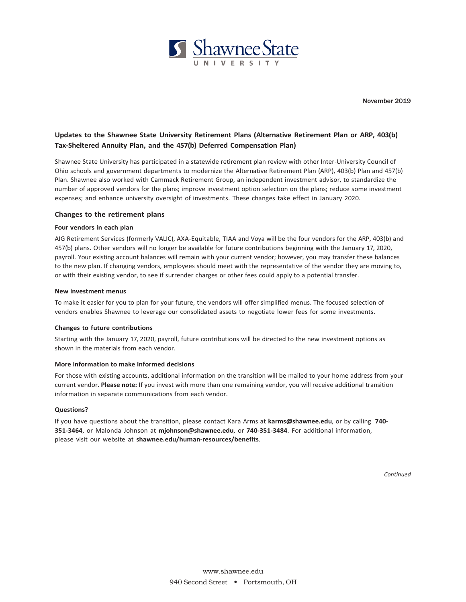

# **Updates to the Shawnee State University Retirement Plans (Alternative Retirement Plan or ARP, 403(b) Tax-Sheltered Annuity Plan, and the 457(b) Deferred Compensation Plan)**

Shawnee State University has participated in a statewide retirement plan review with other Inter-University Council of Ohio schools and government departments to modernize the Alternative Retirement Plan (ARP), 403(b) Plan and 457(b) Plan. Shawnee also worked with Cammack Retirement Group, an independent investment advisor, to standardize the number of approved vendors for the plans; improve investment option selection on the plans; reduce some investment expenses; and enhance university oversight of investments. These changes take effect in January 2020.

### **Changes to the retirement plans**

### **Four vendors in each plan**

AIG Retirement Services (formerly VALIC), AXA-Equitable, TIAA and Voya will be the four vendors for the ARP, 403(b) and 457(b) plans. Other vendors will no longer be available for future contributions beginning with the January 17, 2020, payroll. Your existing account balances will remain with your current vendor; however, you may transfer these balances to the new plan. If changing vendors, employees should meet with the representative of the vendor they are moving to, or with their existing vendor, to see if surrender charges or other fees could apply to a potential transfer.

#### **New investment menus**

To make it easier for you to plan for your future, the vendors will offer simplified menus. The focused selection of vendors enables Shawnee to leverage our consolidated assets to negotiate lower fees for some investments.

### **Changes to future contributions**

Starting with the January 17, 2020, payroll, future contributions will be directed to the new investment options as shown in the materials from each vendor.

## **More information to make informed decisions**

For those with existing accounts, additional information on the transition will be mailed to your home address from your current vendor. **Please note:** If you invest with more than one remaining vendor, you will receive additional transition information in separate communications from each vendor.

## **Questions?**

If you have questions about the transition, please contact Kara Arms at **[karms@shawnee.edu](mailto:karms@shawnee.edu)**, or by calling **740- 351-3464**, or Malonda Johnson at **[mjohnson@shawnee.edu](mailto:mjohnson@shawnee.edu)**, or **740-351-3484**. For additional information, please visit our website at **shawnee.edu/human-resources/benefits**.

*Continued*